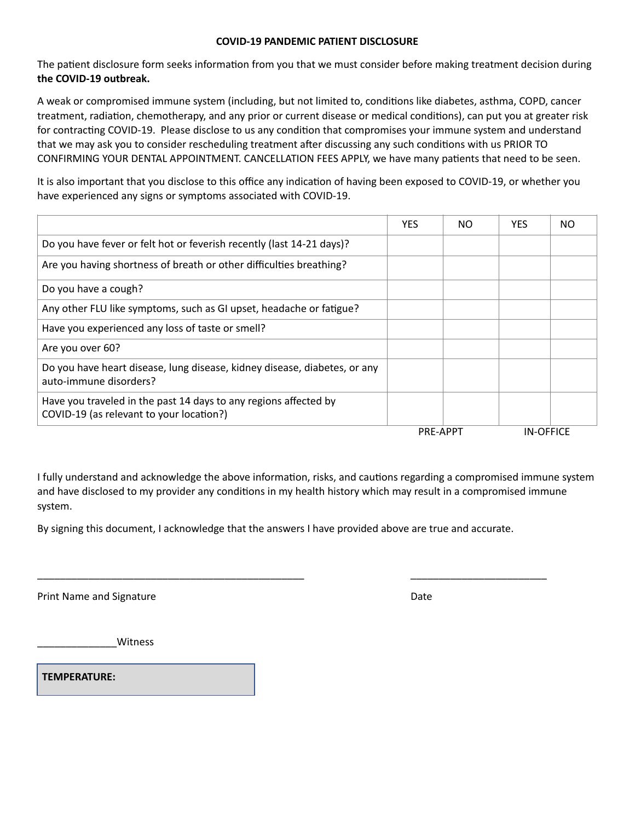## **COVID-19 PANDEMIC PATIENT DISCLOSURE**

The patient disclosure form seeks information from you that we must consider before making treatment decision during **the COVID-19 outbreak.** 

A weak or compromised immune system (including, but not limited to, conditions like diabetes, asthma, COPD, cancer treatment, radiation, chemotherapy, and any prior or current disease or medical conditions), can put you at greater risk for contracting COVID-19. Please disclose to us any condition that compromises your immune system and understand that we may ask you to consider rescheduling treatment after discussing any such conditions with us PRIOR TO CONFIRMING YOUR DENTAL APPOINTMENT. CANCELLATION FEES APPLY, we have many patients that need to be seen.

It is also important that you disclose to this office any indication of having been exposed to COVID-19, or whether you have experienced any signs or symptoms associated with COVID-19.

|                                                                                                              | <b>YES</b>      | NO. | <b>YES</b>       | NO |
|--------------------------------------------------------------------------------------------------------------|-----------------|-----|------------------|----|
| Do you have fever or felt hot or feverish recently (last 14-21 days)?                                        |                 |     |                  |    |
| Are you having shortness of breath or other difficulties breathing?                                          |                 |     |                  |    |
| Do you have a cough?                                                                                         |                 |     |                  |    |
| Any other FLU like symptoms, such as GI upset, headache or fatigue?                                          |                 |     |                  |    |
| Have you experienced any loss of taste or smell?                                                             |                 |     |                  |    |
| Are you over 60?                                                                                             |                 |     |                  |    |
| Do you have heart disease, lung disease, kidney disease, diabetes, or any<br>auto-immune disorders?          |                 |     |                  |    |
| Have you traveled in the past 14 days to any regions affected by<br>COVID-19 (as relevant to your location?) |                 |     |                  |    |
|                                                                                                              | <b>PRE-APPT</b> |     | <b>IN-OFFICE</b> |    |

I fully understand and acknowledge the above information, risks, and cautions regarding a compromised immune system and have disclosed to my provider any conditions in my health history which may result in a compromised immune system.

By signing this document, I acknowledge that the answers I have provided above are true and accurate.

\_\_\_\_\_\_\_\_\_\_\_\_\_\_\_\_\_\_\_\_\_\_\_\_\_\_\_\_\_\_\_\_\_\_\_\_\_\_\_\_\_\_\_\_\_\_\_ \_\_\_\_\_\_\_\_\_\_\_\_\_\_\_\_\_\_\_\_\_\_\_\_

Print Name and Signature **Date of American** Control of American Control of American Control of American Control of American Control of American Control of American Control of American Control of American Control of America

\_\_\_\_\_\_\_\_\_\_\_\_\_\_Witness

**TEMPERATURE:**